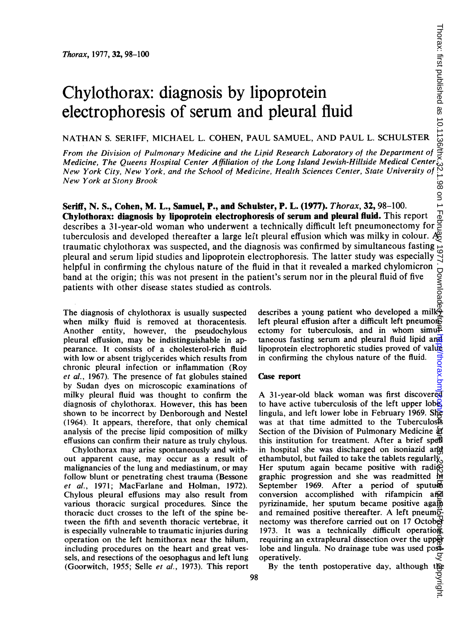## Chylothorax: diagnosis by lipoprotein electrophoresis of serum and pleural fluid

NATHAN S. SERIFF, MICHAEL L. COHEN, PAUL SAMUEL, AND PAUL L. SCHULSTER

From the Division of Pulmonary Medicine and the Lipid Research Laboratory of the Department of Medicine, The Queens Hospital Center Affiliation of the Long Island Jewish-Hillside Medical Center, New York City, New York, and the School of Medicine, Health Sciences Center, State University of New York at Stony Brook

Seriff, N. S., Cohen, M. L., Samuel, P., and Schuister, P. L. (1977). Thorax, 32, 98-100. Chylothorax: diagnosis by lipoprotein electrophoresis of serum and pleural fluid. This report describes a 31-year-old woman who underwent a technically difficult left pneumonectomy for tuberculosis and developed thereafter a large left pleural effusion which was milky in colour. A traumatic chylothorax was suspected, and the diagnosis was confirmed by simultaneous fasting pleural and serum lipid studies and lipoprotein electrophoresis. The latter study was especially helpful in confirming the chylous nature of the fluid in that it revealed a marked chylomicron band at the origin; this was not present in the patient's serum nor in the pleural fluid of five patients with other disease states studied as controls.

The diagnosis of chylothorax is usually suspected when milky fluid is removed at thoracentesis. Another entity, however, the pseudochylous pleural effusion, may be indistinguishable in appearance. It consists of a cholesterol-rich fluid with low or absent triglycerides which results from chronic pleural infection or inflammation (Roy et al., 1967). The presence of fat globules stained by Sudan dyes on microscopic examinations of milky pleural fluid was thought to confirm the diagnosis of chylothorax. However, this has been shown to be incorrect by Denborough and Nestel (1964). It appears, therefore, that only chemical analysis of the precise lipid composition of milky effusions can confirm their nature as truly chylous.

Chylothorax may arise spontaneously and without apparent cause, may occur as a result of malignancies of the lung and mediastinum, or may follow blunt or penetrating chest trauma (Bessone et al., 1971; MacFarlane and Holman, 1972). Chylous pleural effusions may also result from various thoracic surgical procedures. Since the thoracic duct crosses to the left of the spine between the fifth and seventh thoracic vertebrae, it is especially vulnerable to traumatic injuries during operation on the left hemithorax near the hilum, including procedures on the heart and great vessels, and resections of the oesophagus and left lung (Goorwitch, 1955; Selle et al., 1973). This report

describes a young patient who developed a milk left pleural effusion after a difficult left pneumona ectomy for tuberculosis, and in whom simu $\mathbb{B}$ taneous fasting serum and pleural fluid lipid and lipoprotein electrophoretic studies proved of value in confirming the chylous nature of the fluid.

## Case report

A 31-year-old black woman was first discovered to have active tuberculosis of the left upper  $\{bbb\}$ lingula, and left lower lobe in February 1969. She was at that time admitted to the Tuberculosis Section of the Division of Pulmonary Medicine at this institution for treatment. After a brief spell in hospital she was discharged on isoniazid and ethambutol, but failed to take the tablets regularly, Her sputum again became positive with radi $\tilde{\otimes}$ graphic progression and she was readmitted in September 1969. After a period of sputum conversion accomplished with rifampicin and pyrizinamide, her sputum became positive aga $\bar{p}$ and remained positive thereafter. A left pneumonectomy was therefore carried out on 17 October 1973. It was a technically difficult operation, requiring an extrapleural dissection over the upper lobe and lingula. No drainage tube was used postoperatively.

By the tenth postoperative day, although the  $\frac{50}{2}$ <br> $\frac{1}{2}$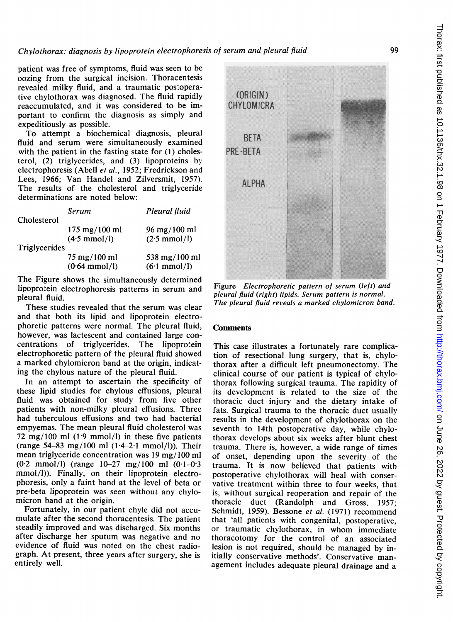Chylothorax: diagnosis by lipoprotein electrophoresis of serum and pleural fluid

patient was free of symptoms, fluid was seen to be oozing from the surgical incision. Thoracentesis revealed milky fluid, and a traumatic posloperative chylothorax was diagnosed. The fluid rapidly reaccumulated, and it was considered to be important to confirm the diagnosis as simply and expeditiously as possible.

To attempt a biochemical diagnosis, pleural fluid and serum were simultaneously examined with the patient in the fasting state for  $(1)$  cholesterol, (2) triglycerides, and (3) lipoproteins by electrophoresis (Abell et al., 1952; Fredrickson and Lees, 1966; Van Handel and Zilversmit, 1957). The results of the cholesterol and triglyceride determinations are noted below:

|               | Serum                                | Pleural fluid                        |
|---------------|--------------------------------------|--------------------------------------|
| Cholesterol   |                                      |                                      |
|               | $175 \text{ mg}/100 \text{ ml}$      | $96 \,\mathrm{mg}/100 \,\mathrm{ml}$ |
|               | $(4.5 \text{ mmol/l})$               | $(2.5 \text{ mmol/l})$               |
| Triglycerides |                                      |                                      |
|               | $75 \,\mathrm{mg}/100 \,\mathrm{ml}$ | 538 mg/100 ml                        |
|               | $(0.64 \text{ mmol/l})$              | $(6.1 \text{ mmol/l})$               |

The Figure shows the simultaneously determined lipoprotein electrophoresis patterns in serum and pleural fluid.

These studies revealed that the serum was clear and that both its lipid and lipoprotein electrophoretic patterns were normal. The pleural fluid, however, was lactescent and contained large concentrations of triglycerides. The lipoprotein electrophoretic pattern of the pleural fluid showed a marked chylomicron band at the origin, indicating the chylous nature of the pleural fluid.

In an attempt to ascertain the specificity of these lipid studies for chylous effusions, pleural fluid was obtained for study from five other patients with non-milky pleural effusions. Three had tuberculous effusions and two had bacterial empyemas. The mean pleural fluid cholesterol was 72 mg/100 ml  $(1.9 \text{ mmol/l})$  in these five patients (range 54-83 mg/100 ml  $(1.4-2.1 \text{ mmol/l})$ ). Their mean triglyceride concentration was 19 mg/100 ml  $(0.2 \text{ mmol/l})$  (range 10-27 mg/100 ml  $(0.1-0.3)$ ) mmol/l)). Finally, on their lipoprotein electrophoresis, only <sup>a</sup> faint band at the level of beta or pre-beta lipoprotein was seen without any chylomicron band at the origin.

Fortunately, in our patient chyle did not accumulate after the second thoracentesis. The patient steadily improved and was discharged. Six months after discharge her sputum was negative and no evidence of fluid was noted on the chest radiograph. At present, three years after surgery, she is entirely well.



Figure Electrophoretic pattern of serum (left) and pleural fluid (right) lipids. Serum pattern is normal. The pleural fluid reveals a marked chylomicron band.

## **Comments**

This case illustrates a fortunately rare complication of resectional lung surgery, that is, chylothorax after a difficult left pneumonectomy. The clinical course of our patient is typical of chylothorax following surgical trauma. The rapidity of its development is related to the size of the thoracic duct injury and the dietary intake of fats. Surgical trauma to the thoracic duct usually results in the development of chylothorax on the seventh to 14th postoperative day, while chylothorax develops about six weeks after blunt chest trauma. There is, however, a wide range of times of onset, depending upon the severity of the trauma. It is now believed that patients with postoperative chylothorax will heal with conservative treatment within three to four weeks, that is, without surgical reoperation and repair of the thoracic duct (Randolph and Gross, 1957; Schmidt, 1959). Bessone et al. (1971) recommend that 'all patients with congenital, postoperative, or traumatic chylothorax, in whom immediate thoracotomy for the control of an associated lesion is not required, should be managed by initially conservative methods'. Conservative management includes adequate pleural drainage and a